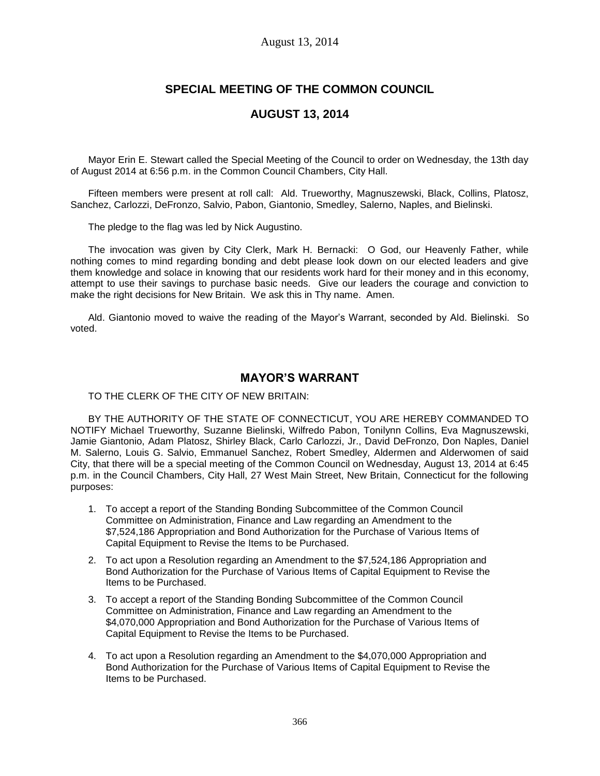# **SPECIAL MEETING OF THE COMMON COUNCIL**

# **AUGUST 13, 2014**

Mayor Erin E. Stewart called the Special Meeting of the Council to order on Wednesday, the 13th day of August 2014 at 6:56 p.m. in the Common Council Chambers, City Hall.

Fifteen members were present at roll call: Ald. Trueworthy, Magnuszewski, Black, Collins, Platosz, Sanchez, Carlozzi, DeFronzo, Salvio, Pabon, Giantonio, Smedley, Salerno, Naples, and Bielinski.

The pledge to the flag was led by Nick Augustino.

The invocation was given by City Clerk, Mark H. Bernacki: O God, our Heavenly Father, while nothing comes to mind regarding bonding and debt please look down on our elected leaders and give them knowledge and solace in knowing that our residents work hard for their money and in this economy, attempt to use their savings to purchase basic needs. Give our leaders the courage and conviction to make the right decisions for New Britain. We ask this in Thy name. Amen.

Ald. Giantonio moved to waive the reading of the Mayor's Warrant, seconded by Ald. Bielinski. So voted.

### **MAYOR'S WARRANT**

TO THE CLERK OF THE CITY OF NEW BRITAIN:

BY THE AUTHORITY OF THE STATE OF CONNECTICUT, YOU ARE HEREBY COMMANDED TO NOTIFY Michael Trueworthy, Suzanne Bielinski, Wilfredo Pabon, Tonilynn Collins, Eva Magnuszewski, Jamie Giantonio, Adam Platosz, Shirley Black, Carlo Carlozzi, Jr., David DeFronzo, Don Naples, Daniel M. Salerno, Louis G. Salvio, Emmanuel Sanchez, Robert Smedley, Aldermen and Alderwomen of said City, that there will be a special meeting of the Common Council on Wednesday, August 13, 2014 at 6:45 p.m. in the Council Chambers, City Hall, 27 West Main Street, New Britain, Connecticut for the following purposes:

- 1. To accept a report of the Standing Bonding Subcommittee of the Common Council Committee on Administration, Finance and Law regarding an Amendment to the \$7,524,186 Appropriation and Bond Authorization for the Purchase of Various Items of Capital Equipment to Revise the Items to be Purchased.
- 2. To act upon a Resolution regarding an Amendment to the \$7,524,186 Appropriation and Bond Authorization for the Purchase of Various Items of Capital Equipment to Revise the Items to be Purchased.
- 3. To accept a report of the Standing Bonding Subcommittee of the Common Council Committee on Administration, Finance and Law regarding an Amendment to the \$4,070,000 Appropriation and Bond Authorization for the Purchase of Various Items of Capital Equipment to Revise the Items to be Purchased.
- 4. To act upon a Resolution regarding an Amendment to the \$4,070,000 Appropriation and Bond Authorization for the Purchase of Various Items of Capital Equipment to Revise the Items to be Purchased.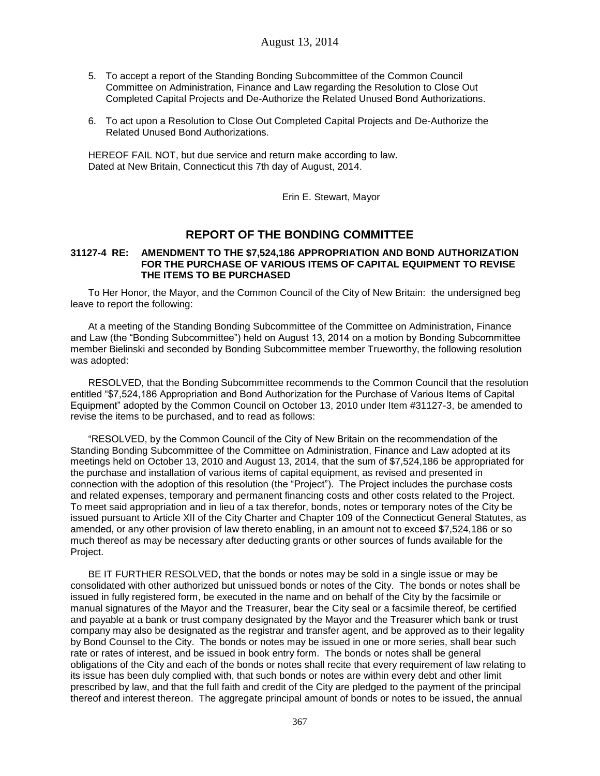- 5. To accept a report of the Standing Bonding Subcommittee of the Common Council Committee on Administration, Finance and Law regarding the Resolution to Close Out Completed Capital Projects and De-Authorize the Related Unused Bond Authorizations.
- 6. To act upon a Resolution to Close Out Completed Capital Projects and De-Authorize the Related Unused Bond Authorizations.

HEREOF FAIL NOT, but due service and return make according to law. Dated at New Britain, Connecticut this 7th day of August, 2014.

Erin E. Stewart, Mayor

### **REPORT OF THE BONDING COMMITTEE**

#### **31127-4 RE: AMENDMENT TO THE \$7,524,186 APPROPRIATION AND BOND AUTHORIZATION FOR THE PURCHASE OF VARIOUS ITEMS OF CAPITAL EQUIPMENT TO REVISE THE ITEMS TO BE PURCHASED**

To Her Honor, the Mayor, and the Common Council of the City of New Britain: the undersigned beg leave to report the following:

At a meeting of the Standing Bonding Subcommittee of the Committee on Administration, Finance and Law (the "Bonding Subcommittee") held on August 13, 2014 on a motion by Bonding Subcommittee member Bielinski and seconded by Bonding Subcommittee member Trueworthy, the following resolution was adopted:

RESOLVED, that the Bonding Subcommittee recommends to the Common Council that the resolution entitled "\$7,524,186 Appropriation and Bond Authorization for the Purchase of Various Items of Capital Equipment" adopted by the Common Council on October 13, 2010 under Item #31127-3, be amended to revise the items to be purchased, and to read as follows:

"RESOLVED, by the Common Council of the City of New Britain on the recommendation of the Standing Bonding Subcommittee of the Committee on Administration, Finance and Law adopted at its meetings held on October 13, 2010 and August 13, 2014, that the sum of \$7,524,186 be appropriated for the purchase and installation of various items of capital equipment, as revised and presented in connection with the adoption of this resolution (the "Project"). The Project includes the purchase costs and related expenses, temporary and permanent financing costs and other costs related to the Project. To meet said appropriation and in lieu of a tax therefor, bonds, notes or temporary notes of the City be issued pursuant to Article XII of the City Charter and Chapter 109 of the Connecticut General Statutes, as amended, or any other provision of law thereto enabling, in an amount not to exceed \$7,524,186 or so much thereof as may be necessary after deducting grants or other sources of funds available for the Project.

BE IT FURTHER RESOLVED, that the bonds or notes may be sold in a single issue or may be consolidated with other authorized but unissued bonds or notes of the City. The bonds or notes shall be issued in fully registered form, be executed in the name and on behalf of the City by the facsimile or manual signatures of the Mayor and the Treasurer, bear the City seal or a facsimile thereof, be certified and payable at a bank or trust company designated by the Mayor and the Treasurer which bank or trust company may also be designated as the registrar and transfer agent, and be approved as to their legality by Bond Counsel to the City. The bonds or notes may be issued in one or more series, shall bear such rate or rates of interest, and be issued in book entry form. The bonds or notes shall be general obligations of the City and each of the bonds or notes shall recite that every requirement of law relating to its issue has been duly complied with, that such bonds or notes are within every debt and other limit prescribed by law, and that the full faith and credit of the City are pledged to the payment of the principal thereof and interest thereon. The aggregate principal amount of bonds or notes to be issued, the annual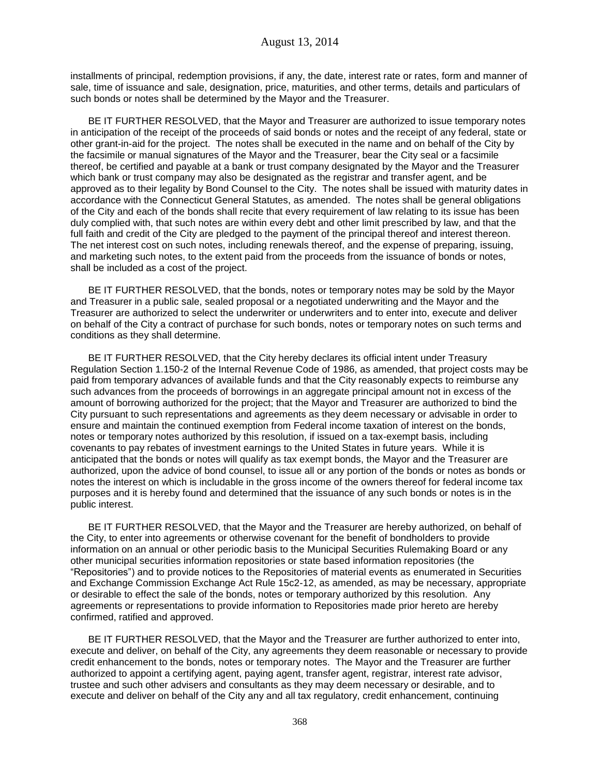installments of principal, redemption provisions, if any, the date, interest rate or rates, form and manner of sale, time of issuance and sale, designation, price, maturities, and other terms, details and particulars of such bonds or notes shall be determined by the Mayor and the Treasurer.

BE IT FURTHER RESOLVED, that the Mayor and Treasurer are authorized to issue temporary notes in anticipation of the receipt of the proceeds of said bonds or notes and the receipt of any federal, state or other grant-in-aid for the project. The notes shall be executed in the name and on behalf of the City by the facsimile or manual signatures of the Mayor and the Treasurer, bear the City seal or a facsimile thereof, be certified and payable at a bank or trust company designated by the Mayor and the Treasurer which bank or trust company may also be designated as the registrar and transfer agent, and be approved as to their legality by Bond Counsel to the City. The notes shall be issued with maturity dates in accordance with the Connecticut General Statutes, as amended. The notes shall be general obligations of the City and each of the bonds shall recite that every requirement of law relating to its issue has been duly complied with, that such notes are within every debt and other limit prescribed by law, and that the full faith and credit of the City are pledged to the payment of the principal thereof and interest thereon. The net interest cost on such notes, including renewals thereof, and the expense of preparing, issuing, and marketing such notes, to the extent paid from the proceeds from the issuance of bonds or notes, shall be included as a cost of the project.

BE IT FURTHER RESOLVED, that the bonds, notes or temporary notes may be sold by the Mayor and Treasurer in a public sale, sealed proposal or a negotiated underwriting and the Mayor and the Treasurer are authorized to select the underwriter or underwriters and to enter into, execute and deliver on behalf of the City a contract of purchase for such bonds, notes or temporary notes on such terms and conditions as they shall determine.

BE IT FURTHER RESOLVED, that the City hereby declares its official intent under Treasury Regulation Section 1.150-2 of the Internal Revenue Code of 1986, as amended, that project costs may be paid from temporary advances of available funds and that the City reasonably expects to reimburse any such advances from the proceeds of borrowings in an aggregate principal amount not in excess of the amount of borrowing authorized for the project; that the Mayor and Treasurer are authorized to bind the City pursuant to such representations and agreements as they deem necessary or advisable in order to ensure and maintain the continued exemption from Federal income taxation of interest on the bonds, notes or temporary notes authorized by this resolution, if issued on a tax-exempt basis, including covenants to pay rebates of investment earnings to the United States in future years. While it is anticipated that the bonds or notes will qualify as tax exempt bonds, the Mayor and the Treasurer are authorized, upon the advice of bond counsel, to issue all or any portion of the bonds or notes as bonds or notes the interest on which is includable in the gross income of the owners thereof for federal income tax purposes and it is hereby found and determined that the issuance of any such bonds or notes is in the public interest.

BE IT FURTHER RESOLVED, that the Mayor and the Treasurer are hereby authorized, on behalf of the City, to enter into agreements or otherwise covenant for the benefit of bondholders to provide information on an annual or other periodic basis to the Municipal Securities Rulemaking Board or any other municipal securities information repositories or state based information repositories (the "Repositories") and to provide notices to the Repositories of material events as enumerated in Securities and Exchange Commission Exchange Act Rule 15c2-12, as amended, as may be necessary, appropriate or desirable to effect the sale of the bonds, notes or temporary authorized by this resolution. Any agreements or representations to provide information to Repositories made prior hereto are hereby confirmed, ratified and approved.

BE IT FURTHER RESOLVED, that the Mayor and the Treasurer are further authorized to enter into, execute and deliver, on behalf of the City, any agreements they deem reasonable or necessary to provide credit enhancement to the bonds, notes or temporary notes. The Mayor and the Treasurer are further authorized to appoint a certifying agent, paying agent, transfer agent, registrar, interest rate advisor, trustee and such other advisers and consultants as they may deem necessary or desirable, and to execute and deliver on behalf of the City any and all tax regulatory, credit enhancement, continuing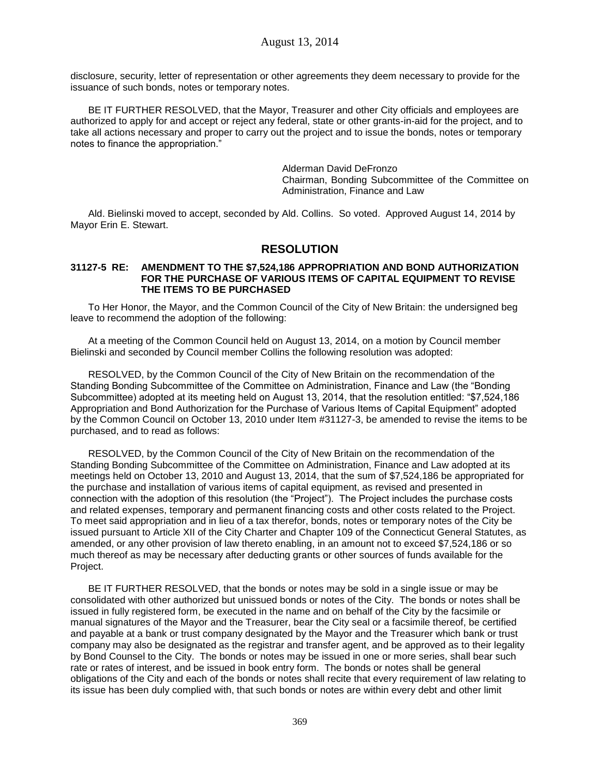disclosure, security, letter of representation or other agreements they deem necessary to provide for the issuance of such bonds, notes or temporary notes.

BE IT FURTHER RESOLVED, that the Mayor, Treasurer and other City officials and employees are authorized to apply for and accept or reject any federal, state or other grants-in-aid for the project, and to take all actions necessary and proper to carry out the project and to issue the bonds, notes or temporary notes to finance the appropriation."

> Alderman David DeFronzo Chairman, Bonding Subcommittee of the Committee on Administration, Finance and Law

Ald. Bielinski moved to accept, seconded by Ald. Collins. So voted. Approved August 14, 2014 by Mayor Erin E. Stewart.

### **RESOLUTION**

#### **31127-5 RE: AMENDMENT TO THE \$7,524,186 APPROPRIATION AND BOND AUTHORIZATION FOR THE PURCHASE OF VARIOUS ITEMS OF CAPITAL EQUIPMENT TO REVISE THE ITEMS TO BE PURCHASED**

To Her Honor, the Mayor, and the Common Council of the City of New Britain: the undersigned beg leave to recommend the adoption of the following:

At a meeting of the Common Council held on August 13, 2014, on a motion by Council member Bielinski and seconded by Council member Collins the following resolution was adopted:

RESOLVED, by the Common Council of the City of New Britain on the recommendation of the Standing Bonding Subcommittee of the Committee on Administration, Finance and Law (the "Bonding Subcommittee) adopted at its meeting held on August 13, 2014, that the resolution entitled: "\$7,524,186 Appropriation and Bond Authorization for the Purchase of Various Items of Capital Equipment" adopted by the Common Council on October 13, 2010 under Item #31127-3, be amended to revise the items to be purchased, and to read as follows:

RESOLVED, by the Common Council of the City of New Britain on the recommendation of the Standing Bonding Subcommittee of the Committee on Administration, Finance and Law adopted at its meetings held on October 13, 2010 and August 13, 2014, that the sum of \$7,524,186 be appropriated for the purchase and installation of various items of capital equipment, as revised and presented in connection with the adoption of this resolution (the "Project"). The Project includes the purchase costs and related expenses, temporary and permanent financing costs and other costs related to the Project. To meet said appropriation and in lieu of a tax therefor, bonds, notes or temporary notes of the City be issued pursuant to Article XII of the City Charter and Chapter 109 of the Connecticut General Statutes, as amended, or any other provision of law thereto enabling, in an amount not to exceed \$7,524,186 or so much thereof as may be necessary after deducting grants or other sources of funds available for the Project.

BE IT FURTHER RESOLVED, that the bonds or notes may be sold in a single issue or may be consolidated with other authorized but unissued bonds or notes of the City. The bonds or notes shall be issued in fully registered form, be executed in the name and on behalf of the City by the facsimile or manual signatures of the Mayor and the Treasurer, bear the City seal or a facsimile thereof, be certified and payable at a bank or trust company designated by the Mayor and the Treasurer which bank or trust company may also be designated as the registrar and transfer agent, and be approved as to their legality by Bond Counsel to the City. The bonds or notes may be issued in one or more series, shall bear such rate or rates of interest, and be issued in book entry form. The bonds or notes shall be general obligations of the City and each of the bonds or notes shall recite that every requirement of law relating to its issue has been duly complied with, that such bonds or notes are within every debt and other limit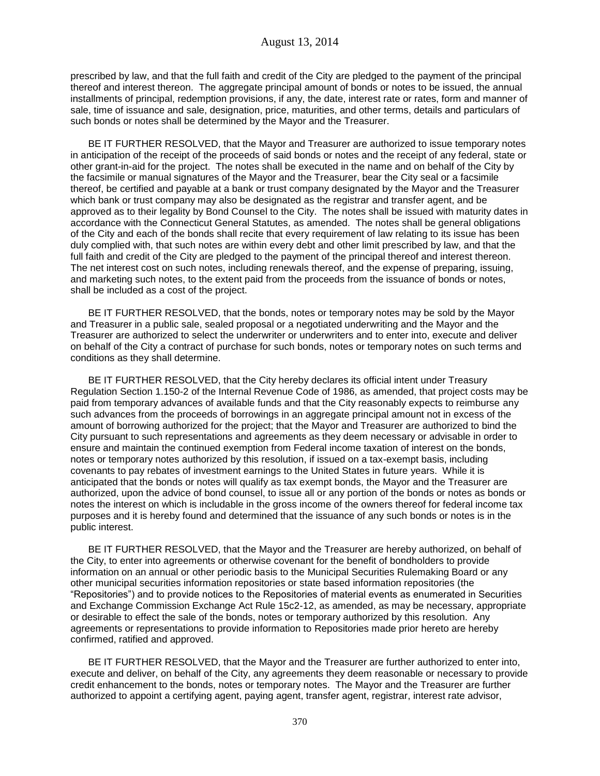prescribed by law, and that the full faith and credit of the City are pledged to the payment of the principal thereof and interest thereon. The aggregate principal amount of bonds or notes to be issued, the annual installments of principal, redemption provisions, if any, the date, interest rate or rates, form and manner of sale, time of issuance and sale, designation, price, maturities, and other terms, details and particulars of such bonds or notes shall be determined by the Mayor and the Treasurer.

BE IT FURTHER RESOLVED, that the Mayor and Treasurer are authorized to issue temporary notes in anticipation of the receipt of the proceeds of said bonds or notes and the receipt of any federal, state or other grant-in-aid for the project. The notes shall be executed in the name and on behalf of the City by the facsimile or manual signatures of the Mayor and the Treasurer, bear the City seal or a facsimile thereof, be certified and payable at a bank or trust company designated by the Mayor and the Treasurer which bank or trust company may also be designated as the registrar and transfer agent, and be approved as to their legality by Bond Counsel to the City. The notes shall be issued with maturity dates in accordance with the Connecticut General Statutes, as amended. The notes shall be general obligations of the City and each of the bonds shall recite that every requirement of law relating to its issue has been duly complied with, that such notes are within every debt and other limit prescribed by law, and that the full faith and credit of the City are pledged to the payment of the principal thereof and interest thereon. The net interest cost on such notes, including renewals thereof, and the expense of preparing, issuing, and marketing such notes, to the extent paid from the proceeds from the issuance of bonds or notes, shall be included as a cost of the project.

BE IT FURTHER RESOLVED, that the bonds, notes or temporary notes may be sold by the Mayor and Treasurer in a public sale, sealed proposal or a negotiated underwriting and the Mayor and the Treasurer are authorized to select the underwriter or underwriters and to enter into, execute and deliver on behalf of the City a contract of purchase for such bonds, notes or temporary notes on such terms and conditions as they shall determine.

BE IT FURTHER RESOLVED, that the City hereby declares its official intent under Treasury Regulation Section 1.150-2 of the Internal Revenue Code of 1986, as amended, that project costs may be paid from temporary advances of available funds and that the City reasonably expects to reimburse any such advances from the proceeds of borrowings in an aggregate principal amount not in excess of the amount of borrowing authorized for the project; that the Mayor and Treasurer are authorized to bind the City pursuant to such representations and agreements as they deem necessary or advisable in order to ensure and maintain the continued exemption from Federal income taxation of interest on the bonds, notes or temporary notes authorized by this resolution, if issued on a tax-exempt basis, including covenants to pay rebates of investment earnings to the United States in future years. While it is anticipated that the bonds or notes will qualify as tax exempt bonds, the Mayor and the Treasurer are authorized, upon the advice of bond counsel, to issue all or any portion of the bonds or notes as bonds or notes the interest on which is includable in the gross income of the owners thereof for federal income tax purposes and it is hereby found and determined that the issuance of any such bonds or notes is in the public interest.

BE IT FURTHER RESOLVED, that the Mayor and the Treasurer are hereby authorized, on behalf of the City, to enter into agreements or otherwise covenant for the benefit of bondholders to provide information on an annual or other periodic basis to the Municipal Securities Rulemaking Board or any other municipal securities information repositories or state based information repositories (the "Repositories") and to provide notices to the Repositories of material events as enumerated in Securities and Exchange Commission Exchange Act Rule 15c2-12, as amended, as may be necessary, appropriate or desirable to effect the sale of the bonds, notes or temporary authorized by this resolution. Any agreements or representations to provide information to Repositories made prior hereto are hereby confirmed, ratified and approved.

BE IT FURTHER RESOLVED, that the Mayor and the Treasurer are further authorized to enter into, execute and deliver, on behalf of the City, any agreements they deem reasonable or necessary to provide credit enhancement to the bonds, notes or temporary notes. The Mayor and the Treasurer are further authorized to appoint a certifying agent, paying agent, transfer agent, registrar, interest rate advisor,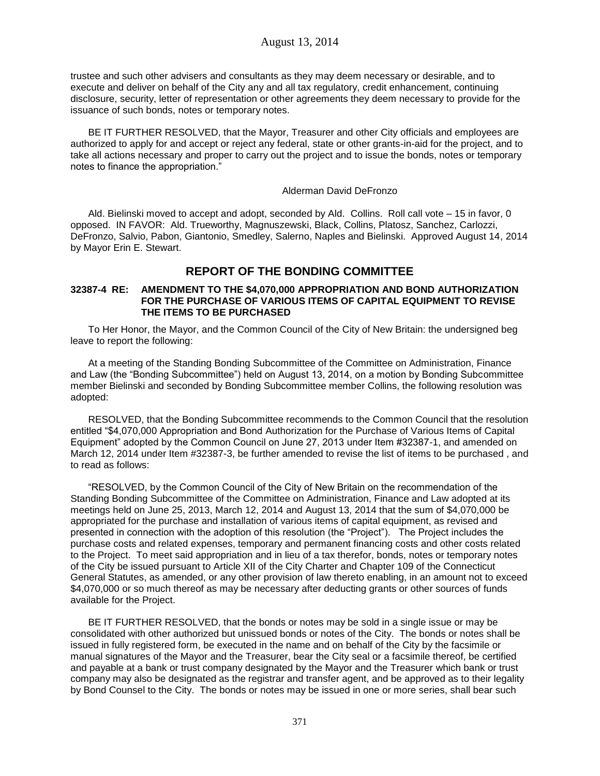trustee and such other advisers and consultants as they may deem necessary or desirable, and to execute and deliver on behalf of the City any and all tax regulatory, credit enhancement, continuing disclosure, security, letter of representation or other agreements they deem necessary to provide for the issuance of such bonds, notes or temporary notes.

BE IT FURTHER RESOLVED, that the Mayor, Treasurer and other City officials and employees are authorized to apply for and accept or reject any federal, state or other grants-in-aid for the project, and to take all actions necessary and proper to carry out the project and to issue the bonds, notes or temporary notes to finance the appropriation."

#### Alderman David DeFronzo

Ald. Bielinski moved to accept and adopt, seconded by Ald. Collins. Roll call vote – 15 in favor, 0 opposed. IN FAVOR: Ald. Trueworthy, Magnuszewski, Black, Collins, Platosz, Sanchez, Carlozzi, DeFronzo, Salvio, Pabon, Giantonio, Smedley, Salerno, Naples and Bielinski. Approved August 14, 2014 by Mayor Erin E. Stewart.

# **REPORT OF THE BONDING COMMITTEE**

#### **32387-4 RE: AMENDMENT TO THE \$4,070,000 APPROPRIATION AND BOND AUTHORIZATION FOR THE PURCHASE OF VARIOUS ITEMS OF CAPITAL EQUIPMENT TO REVISE THE ITEMS TO BE PURCHASED**

To Her Honor, the Mayor, and the Common Council of the City of New Britain: the undersigned beg leave to report the following:

At a meeting of the Standing Bonding Subcommittee of the Committee on Administration, Finance and Law (the "Bonding Subcommittee") held on August 13, 2014, on a motion by Bonding Subcommittee member Bielinski and seconded by Bonding Subcommittee member Collins, the following resolution was adopted:

RESOLVED, that the Bonding Subcommittee recommends to the Common Council that the resolution entitled "\$4,070,000 Appropriation and Bond Authorization for the Purchase of Various Items of Capital Equipment" adopted by the Common Council on June 27, 2013 under Item #32387-1, and amended on March 12, 2014 under Item #32387-3, be further amended to revise the list of items to be purchased , and to read as follows:

"RESOLVED, by the Common Council of the City of New Britain on the recommendation of the Standing Bonding Subcommittee of the Committee on Administration, Finance and Law adopted at its meetings held on June 25, 2013, March 12, 2014 and August 13, 2014 that the sum of \$4,070,000 be appropriated for the purchase and installation of various items of capital equipment, as revised and presented in connection with the adoption of this resolution (the "Project"). The Project includes the purchase costs and related expenses, temporary and permanent financing costs and other costs related to the Project. To meet said appropriation and in lieu of a tax therefor, bonds, notes or temporary notes of the City be issued pursuant to Article XII of the City Charter and Chapter 109 of the Connecticut General Statutes, as amended, or any other provision of law thereto enabling, in an amount not to exceed \$4,070,000 or so much thereof as may be necessary after deducting grants or other sources of funds available for the Project.

BE IT FURTHER RESOLVED, that the bonds or notes may be sold in a single issue or may be consolidated with other authorized but unissued bonds or notes of the City. The bonds or notes shall be issued in fully registered form, be executed in the name and on behalf of the City by the facsimile or manual signatures of the Mayor and the Treasurer, bear the City seal or a facsimile thereof, be certified and payable at a bank or trust company designated by the Mayor and the Treasurer which bank or trust company may also be designated as the registrar and transfer agent, and be approved as to their legality by Bond Counsel to the City. The bonds or notes may be issued in one or more series, shall bear such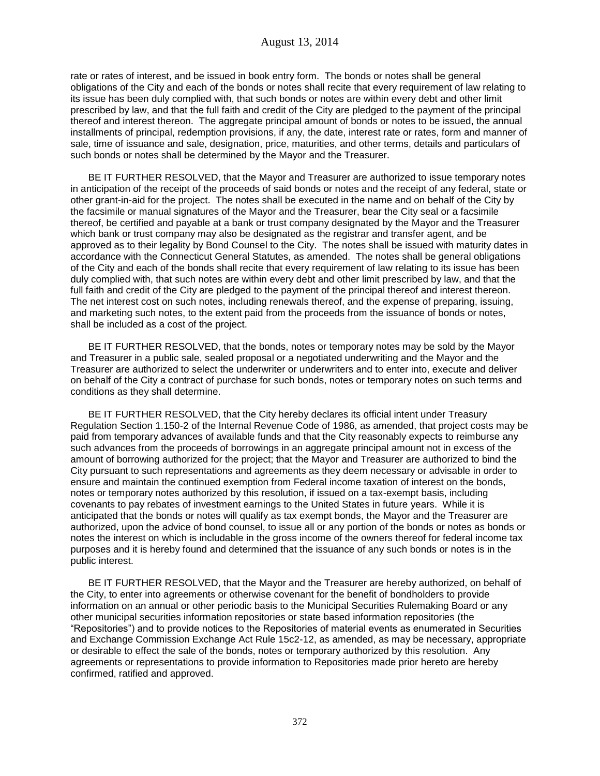rate or rates of interest, and be issued in book entry form. The bonds or notes shall be general obligations of the City and each of the bonds or notes shall recite that every requirement of law relating to its issue has been duly complied with, that such bonds or notes are within every debt and other limit prescribed by law, and that the full faith and credit of the City are pledged to the payment of the principal thereof and interest thereon. The aggregate principal amount of bonds or notes to be issued, the annual installments of principal, redemption provisions, if any, the date, interest rate or rates, form and manner of sale, time of issuance and sale, designation, price, maturities, and other terms, details and particulars of such bonds or notes shall be determined by the Mayor and the Treasurer.

BE IT FURTHER RESOLVED, that the Mayor and Treasurer are authorized to issue temporary notes in anticipation of the receipt of the proceeds of said bonds or notes and the receipt of any federal, state or other grant-in-aid for the project. The notes shall be executed in the name and on behalf of the City by the facsimile or manual signatures of the Mayor and the Treasurer, bear the City seal or a facsimile thereof, be certified and payable at a bank or trust company designated by the Mayor and the Treasurer which bank or trust company may also be designated as the registrar and transfer agent, and be approved as to their legality by Bond Counsel to the City. The notes shall be issued with maturity dates in accordance with the Connecticut General Statutes, as amended. The notes shall be general obligations of the City and each of the bonds shall recite that every requirement of law relating to its issue has been duly complied with, that such notes are within every debt and other limit prescribed by law, and that the full faith and credit of the City are pledged to the payment of the principal thereof and interest thereon. The net interest cost on such notes, including renewals thereof, and the expense of preparing, issuing, and marketing such notes, to the extent paid from the proceeds from the issuance of bonds or notes, shall be included as a cost of the project.

BE IT FURTHER RESOLVED, that the bonds, notes or temporary notes may be sold by the Mayor and Treasurer in a public sale, sealed proposal or a negotiated underwriting and the Mayor and the Treasurer are authorized to select the underwriter or underwriters and to enter into, execute and deliver on behalf of the City a contract of purchase for such bonds, notes or temporary notes on such terms and conditions as they shall determine.

BE IT FURTHER RESOLVED, that the City hereby declares its official intent under Treasury Regulation Section 1.150-2 of the Internal Revenue Code of 1986, as amended, that project costs may be paid from temporary advances of available funds and that the City reasonably expects to reimburse any such advances from the proceeds of borrowings in an aggregate principal amount not in excess of the amount of borrowing authorized for the project; that the Mayor and Treasurer are authorized to bind the City pursuant to such representations and agreements as they deem necessary or advisable in order to ensure and maintain the continued exemption from Federal income taxation of interest on the bonds, notes or temporary notes authorized by this resolution, if issued on a tax-exempt basis, including covenants to pay rebates of investment earnings to the United States in future years. While it is anticipated that the bonds or notes will qualify as tax exempt bonds, the Mayor and the Treasurer are authorized, upon the advice of bond counsel, to issue all or any portion of the bonds or notes as bonds or notes the interest on which is includable in the gross income of the owners thereof for federal income tax purposes and it is hereby found and determined that the issuance of any such bonds or notes is in the public interest.

BE IT FURTHER RESOLVED, that the Mayor and the Treasurer are hereby authorized, on behalf of the City, to enter into agreements or otherwise covenant for the benefit of bondholders to provide information on an annual or other periodic basis to the Municipal Securities Rulemaking Board or any other municipal securities information repositories or state based information repositories (the "Repositories") and to provide notices to the Repositories of material events as enumerated in Securities and Exchange Commission Exchange Act Rule 15c2-12, as amended, as may be necessary, appropriate or desirable to effect the sale of the bonds, notes or temporary authorized by this resolution. Any agreements or representations to provide information to Repositories made prior hereto are hereby confirmed, ratified and approved.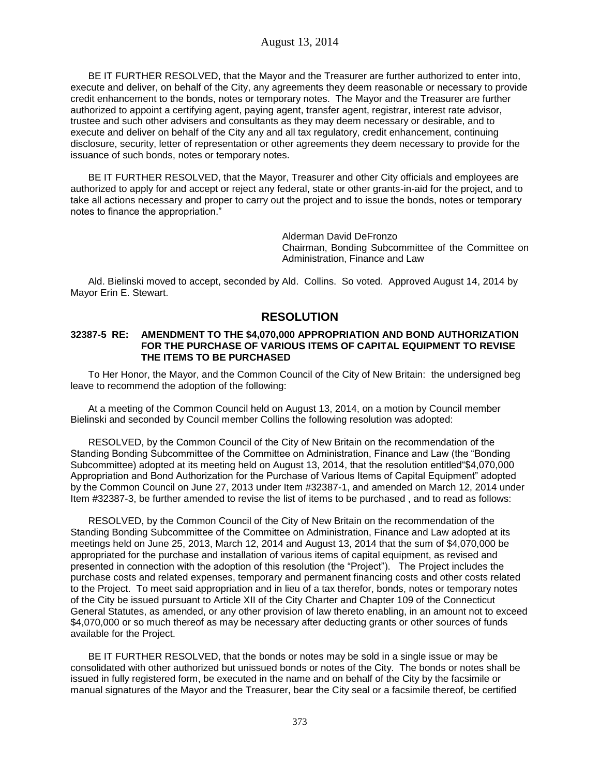BE IT FURTHER RESOLVED, that the Mayor and the Treasurer are further authorized to enter into, execute and deliver, on behalf of the City, any agreements they deem reasonable or necessary to provide credit enhancement to the bonds, notes or temporary notes. The Mayor and the Treasurer are further authorized to appoint a certifying agent, paying agent, transfer agent, registrar, interest rate advisor, trustee and such other advisers and consultants as they may deem necessary or desirable, and to execute and deliver on behalf of the City any and all tax regulatory, credit enhancement, continuing disclosure, security, letter of representation or other agreements they deem necessary to provide for the issuance of such bonds, notes or temporary notes.

BE IT FURTHER RESOLVED, that the Mayor, Treasurer and other City officials and employees are authorized to apply for and accept or reject any federal, state or other grants-in-aid for the project, and to take all actions necessary and proper to carry out the project and to issue the bonds, notes or temporary notes to finance the appropriation."

> Alderman David DeFronzo Chairman, Bonding Subcommittee of the Committee on Administration, Finance and Law

Ald. Bielinski moved to accept, seconded by Ald. Collins. So voted. Approved August 14, 2014 by Mayor Erin E. Stewart.

# **RESOLUTION**

#### **32387-5 RE: AMENDMENT TO THE \$4,070,000 APPROPRIATION AND BOND AUTHORIZATION FOR THE PURCHASE OF VARIOUS ITEMS OF CAPITAL EQUIPMENT TO REVISE THE ITEMS TO BE PURCHASED**

To Her Honor, the Mayor, and the Common Council of the City of New Britain: the undersigned beg leave to recommend the adoption of the following:

At a meeting of the Common Council held on August 13, 2014, on a motion by Council member Bielinski and seconded by Council member Collins the following resolution was adopted:

RESOLVED, by the Common Council of the City of New Britain on the recommendation of the Standing Bonding Subcommittee of the Committee on Administration, Finance and Law (the "Bonding Subcommittee) adopted at its meeting held on August 13, 2014, that the resolution entitled"\$4,070,000 Appropriation and Bond Authorization for the Purchase of Various Items of Capital Equipment" adopted by the Common Council on June 27, 2013 under Item #32387-1, and amended on March 12, 2014 under Item #32387-3, be further amended to revise the list of items to be purchased , and to read as follows:

RESOLVED, by the Common Council of the City of New Britain on the recommendation of the Standing Bonding Subcommittee of the Committee on Administration, Finance and Law adopted at its meetings held on June 25, 2013, March 12, 2014 and August 13, 2014 that the sum of \$4,070,000 be appropriated for the purchase and installation of various items of capital equipment, as revised and presented in connection with the adoption of this resolution (the "Project"). The Project includes the purchase costs and related expenses, temporary and permanent financing costs and other costs related to the Project. To meet said appropriation and in lieu of a tax therefor, bonds, notes or temporary notes of the City be issued pursuant to Article XII of the City Charter and Chapter 109 of the Connecticut General Statutes, as amended, or any other provision of law thereto enabling, in an amount not to exceed \$4,070,000 or so much thereof as may be necessary after deducting grants or other sources of funds available for the Project.

BE IT FURTHER RESOLVED, that the bonds or notes may be sold in a single issue or may be consolidated with other authorized but unissued bonds or notes of the City. The bonds or notes shall be issued in fully registered form, be executed in the name and on behalf of the City by the facsimile or manual signatures of the Mayor and the Treasurer, bear the City seal or a facsimile thereof, be certified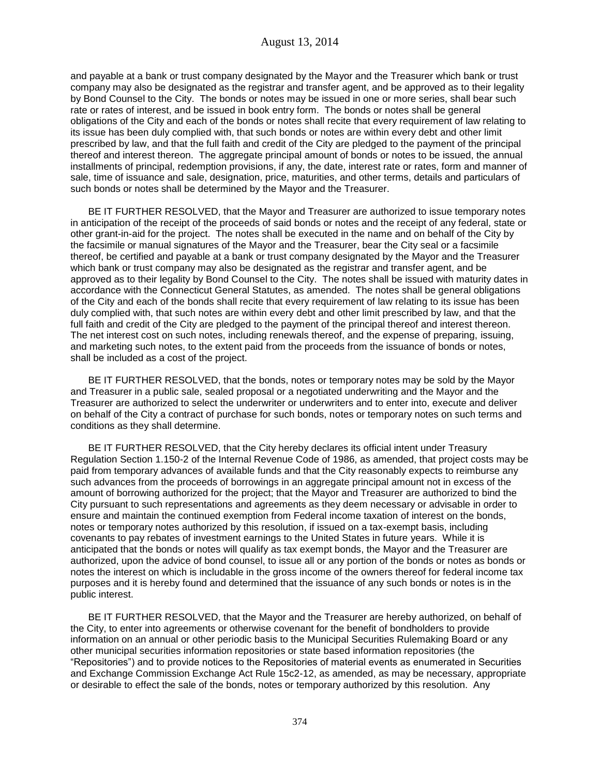and payable at a bank or trust company designated by the Mayor and the Treasurer which bank or trust company may also be designated as the registrar and transfer agent, and be approved as to their legality by Bond Counsel to the City. The bonds or notes may be issued in one or more series, shall bear such rate or rates of interest, and be issued in book entry form. The bonds or notes shall be general obligations of the City and each of the bonds or notes shall recite that every requirement of law relating to its issue has been duly complied with, that such bonds or notes are within every debt and other limit prescribed by law, and that the full faith and credit of the City are pledged to the payment of the principal thereof and interest thereon. The aggregate principal amount of bonds or notes to be issued, the annual installments of principal, redemption provisions, if any, the date, interest rate or rates, form and manner of sale, time of issuance and sale, designation, price, maturities, and other terms, details and particulars of such bonds or notes shall be determined by the Mayor and the Treasurer.

BE IT FURTHER RESOLVED, that the Mayor and Treasurer are authorized to issue temporary notes in anticipation of the receipt of the proceeds of said bonds or notes and the receipt of any federal, state or other grant-in-aid for the project. The notes shall be executed in the name and on behalf of the City by the facsimile or manual signatures of the Mayor and the Treasurer, bear the City seal or a facsimile thereof, be certified and payable at a bank or trust company designated by the Mayor and the Treasurer which bank or trust company may also be designated as the registrar and transfer agent, and be approved as to their legality by Bond Counsel to the City. The notes shall be issued with maturity dates in accordance with the Connecticut General Statutes, as amended. The notes shall be general obligations of the City and each of the bonds shall recite that every requirement of law relating to its issue has been duly complied with, that such notes are within every debt and other limit prescribed by law, and that the full faith and credit of the City are pledged to the payment of the principal thereof and interest thereon. The net interest cost on such notes, including renewals thereof, and the expense of preparing, issuing, and marketing such notes, to the extent paid from the proceeds from the issuance of bonds or notes, shall be included as a cost of the project.

BE IT FURTHER RESOLVED, that the bonds, notes or temporary notes may be sold by the Mayor and Treasurer in a public sale, sealed proposal or a negotiated underwriting and the Mayor and the Treasurer are authorized to select the underwriter or underwriters and to enter into, execute and deliver on behalf of the City a contract of purchase for such bonds, notes or temporary notes on such terms and conditions as they shall determine.

BE IT FURTHER RESOLVED, that the City hereby declares its official intent under Treasury Regulation Section 1.150-2 of the Internal Revenue Code of 1986, as amended, that project costs may be paid from temporary advances of available funds and that the City reasonably expects to reimburse any such advances from the proceeds of borrowings in an aggregate principal amount not in excess of the amount of borrowing authorized for the project; that the Mayor and Treasurer are authorized to bind the City pursuant to such representations and agreements as they deem necessary or advisable in order to ensure and maintain the continued exemption from Federal income taxation of interest on the bonds, notes or temporary notes authorized by this resolution, if issued on a tax-exempt basis, including covenants to pay rebates of investment earnings to the United States in future years. While it is anticipated that the bonds or notes will qualify as tax exempt bonds, the Mayor and the Treasurer are authorized, upon the advice of bond counsel, to issue all or any portion of the bonds or notes as bonds or notes the interest on which is includable in the gross income of the owners thereof for federal income tax purposes and it is hereby found and determined that the issuance of any such bonds or notes is in the public interest.

BE IT FURTHER RESOLVED, that the Mayor and the Treasurer are hereby authorized, on behalf of the City, to enter into agreements or otherwise covenant for the benefit of bondholders to provide information on an annual or other periodic basis to the Municipal Securities Rulemaking Board or any other municipal securities information repositories or state based information repositories (the "Repositories") and to provide notices to the Repositories of material events as enumerated in Securities and Exchange Commission Exchange Act Rule 15c2-12, as amended, as may be necessary, appropriate or desirable to effect the sale of the bonds, notes or temporary authorized by this resolution. Any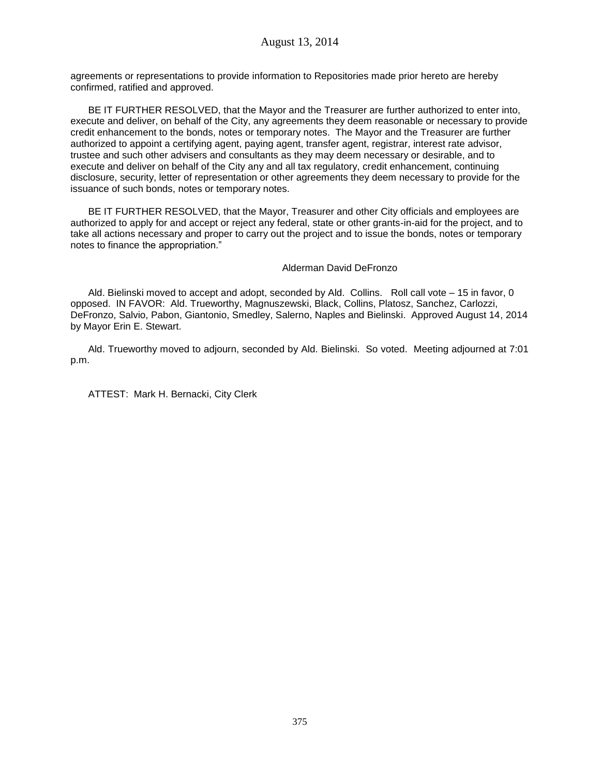agreements or representations to provide information to Repositories made prior hereto are hereby confirmed, ratified and approved.

BE IT FURTHER RESOLVED, that the Mayor and the Treasurer are further authorized to enter into, execute and deliver, on behalf of the City, any agreements they deem reasonable or necessary to provide credit enhancement to the bonds, notes or temporary notes. The Mayor and the Treasurer are further authorized to appoint a certifying agent, paying agent, transfer agent, registrar, interest rate advisor, trustee and such other advisers and consultants as they may deem necessary or desirable, and to execute and deliver on behalf of the City any and all tax regulatory, credit enhancement, continuing disclosure, security, letter of representation or other agreements they deem necessary to provide for the issuance of such bonds, notes or temporary notes.

BE IT FURTHER RESOLVED, that the Mayor, Treasurer and other City officials and employees are authorized to apply for and accept or reject any federal, state or other grants-in-aid for the project, and to take all actions necessary and proper to carry out the project and to issue the bonds, notes or temporary notes to finance the appropriation."

#### Alderman David DeFronzo

Ald. Bielinski moved to accept and adopt, seconded by Ald. Collins. Roll call vote – 15 in favor, 0 opposed. IN FAVOR: Ald. Trueworthy, Magnuszewski, Black, Collins, Platosz, Sanchez, Carlozzi, DeFronzo, Salvio, Pabon, Giantonio, Smedley, Salerno, Naples and Bielinski. Approved August 14, 2014 by Mayor Erin E. Stewart.

Ald. Trueworthy moved to adjourn, seconded by Ald. Bielinski. So voted. Meeting adjourned at 7:01 p.m.

ATTEST: Mark H. Bernacki, City Clerk